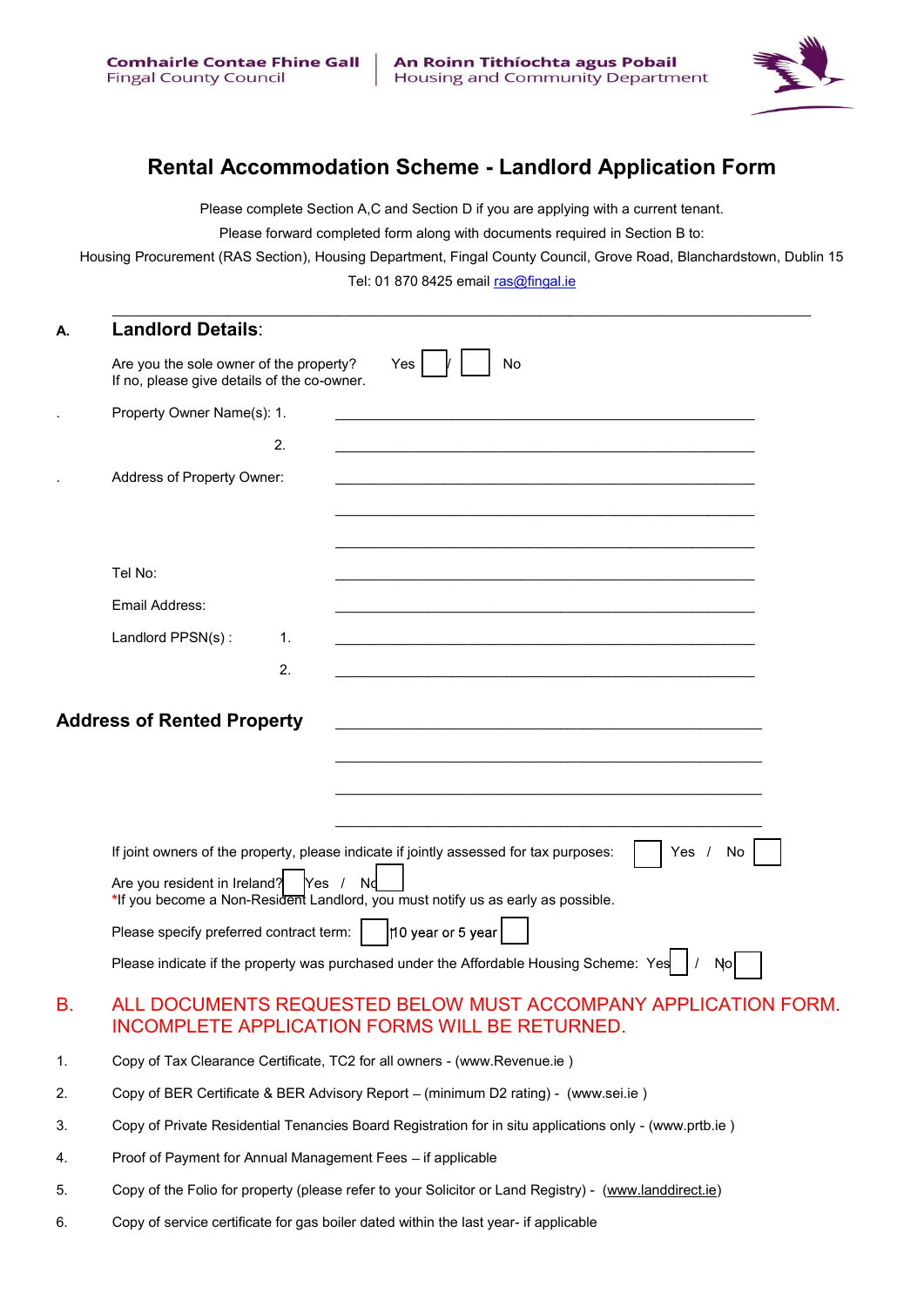

## Rental Accommodation Scheme - Landlord Application Form

Please complete Section A,C and Section D if you are applying with a current tenant.

Please forward completed form along with documents required in Section B to:

Housing Procurement (RAS Section), Housing Department, Fingal County Council, Grove Road, Blanchardstown, Dublin 15 Tel: 01 870 8425 email ras@fingal.ie

| А. | <b>Landlord Details:</b>                                                                                                                                                                                                                                                                                                                                                                               |  |
|----|--------------------------------------------------------------------------------------------------------------------------------------------------------------------------------------------------------------------------------------------------------------------------------------------------------------------------------------------------------------------------------------------------------|--|
|    | No<br>Are you the sole owner of the property?<br>Yes<br>If no, please give details of the co-owner.                                                                                                                                                                                                                                                                                                    |  |
|    | Property Owner Name(s): 1.                                                                                                                                                                                                                                                                                                                                                                             |  |
|    | 2.                                                                                                                                                                                                                                                                                                                                                                                                     |  |
|    | Address of Property Owner:                                                                                                                                                                                                                                                                                                                                                                             |  |
|    |                                                                                                                                                                                                                                                                                                                                                                                                        |  |
|    |                                                                                                                                                                                                                                                                                                                                                                                                        |  |
|    | Tel No:                                                                                                                                                                                                                                                                                                                                                                                                |  |
|    | Email Address:                                                                                                                                                                                                                                                                                                                                                                                         |  |
|    | Landlord PPSN(s):<br>1.                                                                                                                                                                                                                                                                                                                                                                                |  |
|    | 2.                                                                                                                                                                                                                                                                                                                                                                                                     |  |
|    | <b>Address of Rented Property</b><br><u> 1980 - Johann Barbara, marka a shekara tsa 1980 - An tsa 1980 - An tsa 1980 - An tsa 1980 - An tsa 1980 - An</u>                                                                                                                                                                                                                                              |  |
|    | If joint owners of the property, please indicate if jointly assessed for tax purposes:<br>Yes $/$<br>No<br>Are you resident in Ireland?<br>Yes /<br>*If you become a Non-Resident Landlord, you must notify us as early as possible.<br>10 year or 5 year<br>Please specify preferred contract term:  <br>Please indicate if the property was purchased under the Affordable Housing Scheme: Yes<br>No |  |
| В. | ALL DOCUMENTS REQUESTED BELOW MUST ACCOMPANY APPLICATION FORM.<br><b>INCOMPLETE APPLICATION FORMS WILL BE RETURNED.</b>                                                                                                                                                                                                                                                                                |  |
| 1. | Copy of Tax Clearance Certificate, TC2 for all owners - (www.Revenue.ie)                                                                                                                                                                                                                                                                                                                               |  |
| 2. | Copy of BER Certificate & BER Advisory Report - (minimum D2 rating) - (www.sei.ie)                                                                                                                                                                                                                                                                                                                     |  |

- 3. Copy of Private Residential Tenancies Board Registration for in situ applications only (www.prtb.ie )
- 4. Proof of Payment for Annual Management Fees if applicable
- 5. Copy of the Folio for property (please refer to your Solicitor or Land Registry) (www.landdirect.ie)
- 6. Copy of service certificate for gas boiler dated within the last year- if applicable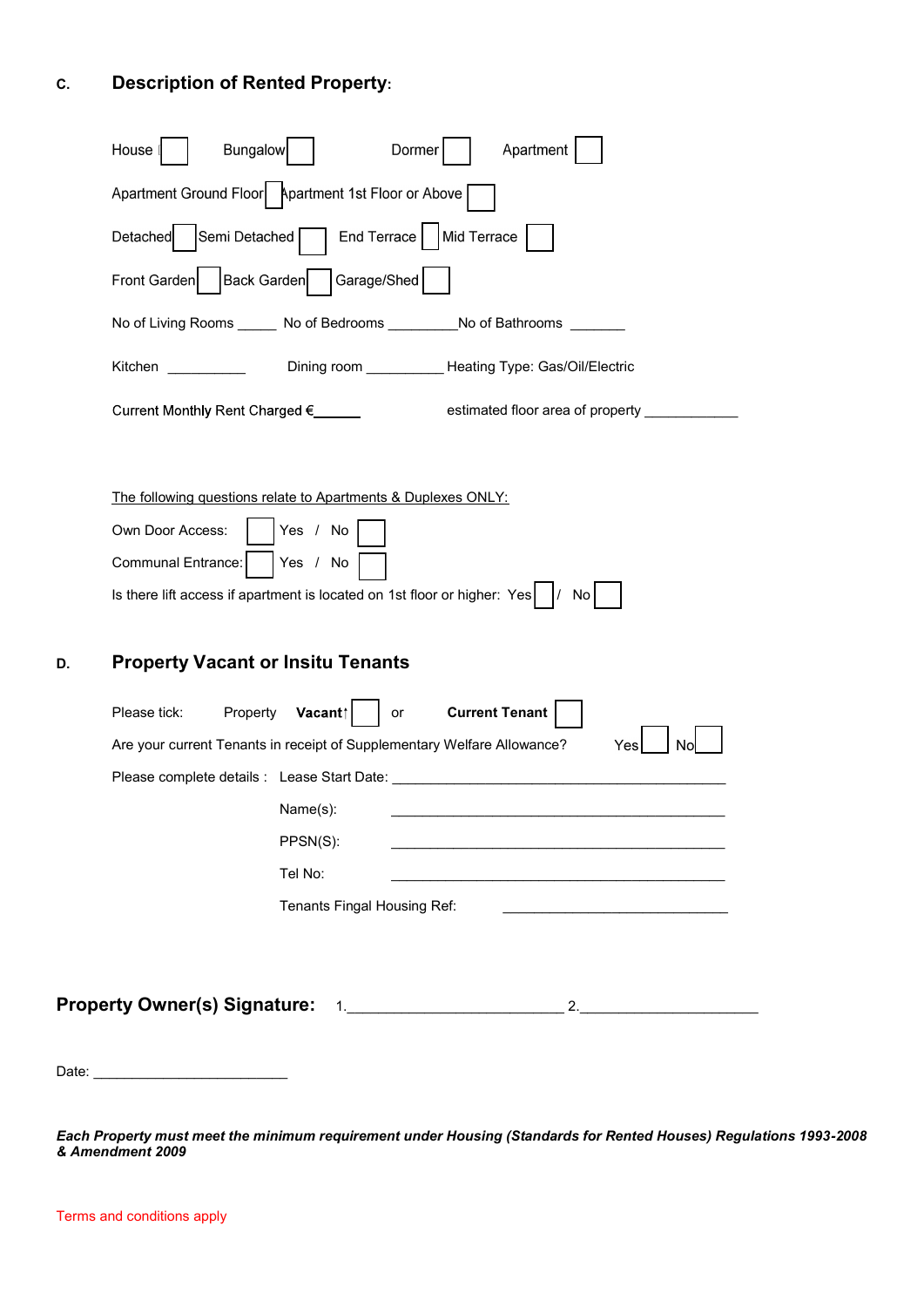# C. Description of Rented Property:

| <b>Bungalow</b><br>Apartment<br>House<br>Dormer                                               |  |
|-----------------------------------------------------------------------------------------------|--|
| Apartment Ground Floor   Apartment 1st Floor or Above                                         |  |
| Detached   Semi Detached   End Terrace   Mid Terrace                                          |  |
| Garage/Shed<br>Back Garden<br>Front Garden                                                    |  |
| No of Living Rooms ______ No of Bedrooms _________ No of Bathrooms _______                    |  |
| Dining room ____________Heating Type: Gas/Oil/Electric<br>Kitchen in der der der den koninkel |  |
| Current Monthly Rent Charged € _____<br>estimated floor area of property _____________        |  |
|                                                                                               |  |
| The following questions relate to Apartments & Duplexes ONLY:                                 |  |
| Yes / No<br>Own Door Access:                                                                  |  |
| Communal Entrance:<br>Yes / No                                                                |  |
| Is there lift access if apartment is located on 1st floor or higher: $Yes \mid / No \mid$     |  |
|                                                                                               |  |
| <b>Property Vacant or Insitu Tenants</b><br>D.                                                |  |
| <b>Current Tenant</b><br>Property<br>Vacant⊺       <br>Please tick:<br>or                     |  |
| Are your current Tenants in receipt of Supplementary Welfare Allowance?<br>Yes<br>No          |  |
| Please complete details : Lease Start Date: Network and the complete details in Lease         |  |
| Name(s):                                                                                      |  |
| PPSN(S):                                                                                      |  |
| Tel No:                                                                                       |  |
| Tenants Fingal Housing Ref:                                                                   |  |
|                                                                                               |  |
|                                                                                               |  |
|                                                                                               |  |
|                                                                                               |  |
| Date: _________________________________                                                       |  |

Each Property must meet the minimum requirement under Housing (Standards for Rented Houses) Regulations 1993-2008 & Amendment 2009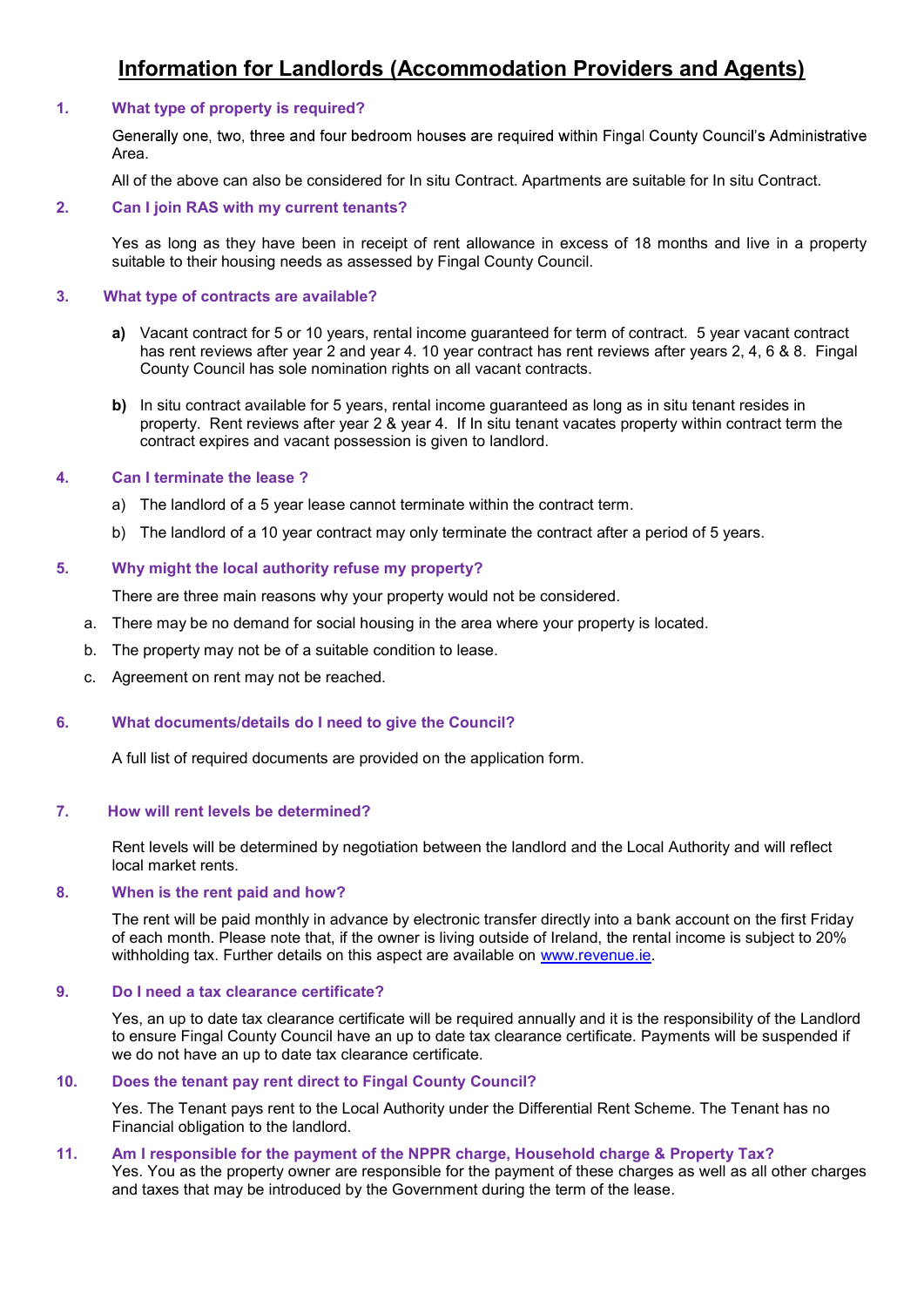## Information for Landlords (Accommodation Providers and Agents)

## 1. What type of property is required?

Generally one, two, three and four bedroom houses are required within Fingal County Council's Administrative Area.

All of the above can also be considered for In situ Contract. Apartments are suitable for In situ Contract.

#### 2. Can I join RAS with my current tenants?

Yes as long as they have been in receipt of rent allowance in excess of 18 months and live in a property suitable to their housing needs as assessed by Fingal County Council.

## 3. What type of contracts are available?

- a) Vacant contract for 5 or 10 years, rental income guaranteed for term of contract. 5 year vacant contract has rent reviews after year 2 and year 4. 10 year contract has rent reviews after years 2, 4, 6 & 8. Fingal County Council has sole nomination rights on all vacant contracts.
- b) In situ contract available for 5 years, rental income guaranteed as long as in situ tenant resides in property. Rent reviews after year 2 & year 4. If In situ tenant vacates property within contract term the contract expires and vacant possession is given to landlord.

## 4. Can I terminate the lease ?

- a) The landlord of a 5 year lease cannot terminate within the contract term.
- b) The landlord of a 10 year contract may only terminate the contract after a period of 5 years.

## 5. Why might the local authority refuse my property?

There are three main reasons why your property would not be considered.

- a. There may be no demand for social housing in the area where your property is located.
- b. The property may not be of a suitable condition to lease.
- c. Agreement on rent may not be reached.

## 6. What documents/details do I need to give the Council?

A full list of required documents are provided on the application form.

#### 7. How will rent levels be determined?

Rent levels will be determined by negotiation between the landlord and the Local Authority and will reflect local market rents.

#### 8. When is the rent paid and how?

The rent will be paid monthly in advance by electronic transfer directly into a bank account on the first Friday of each month. Please note that, if the owner is living outside of Ireland, the rental income is subject to 20% withholding tax. Further details on this aspect are available on www.revenue.ie.

#### 9. Do I need a tax clearance certificate?

Yes, an up to date tax clearance certificate will be required annually and it is the responsibility of the Landlord to ensure Fingal County Council have an up to date tax clearance certificate. Payments will be suspended if we do not have an up to date tax clearance certificate.

## 10. Does the tenant pay rent direct to Fingal County Council?

Yes. The Tenant pays rent to the Local Authority under the Differential Rent Scheme. The Tenant has no Financial obligation to the landlord.

## 11. Am I responsible for the payment of the NPPR charge, Household charge & Property Tax?

Yes. You as the property owner are responsible for the payment of these charges as well as all other charges and taxes that may be introduced by the Government during the term of the lease.